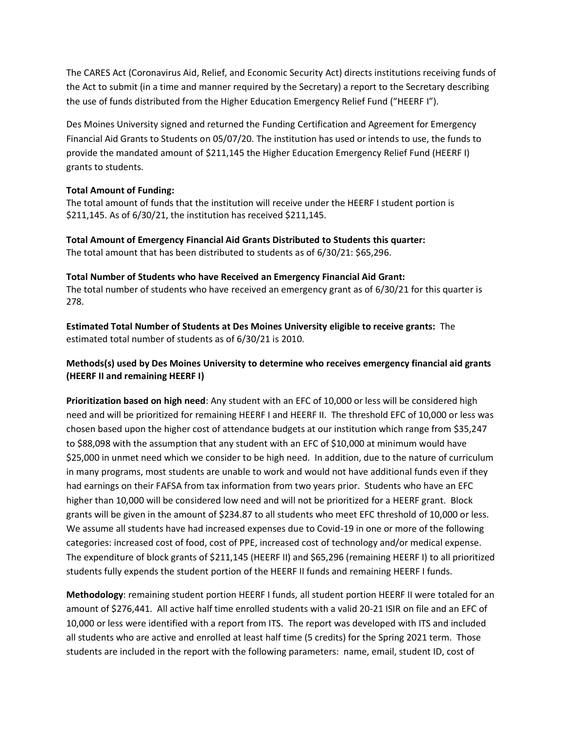The CARES Act (Coronavirus Aid, Relief, and Economic Security Act) directs institutions receiving funds of the Act to submit (in a time and manner required by the Secretary) a report to the Secretary describing the use of funds distributed from the Higher Education Emergency Relief Fund ("HEERF I").

Des Moines University signed and returned the Funding Certification and Agreement for Emergency Financial Aid Grants to Students on 05/07/20. The institution has used or intends to use, the funds to provide the mandated amount of \$211,145 the Higher Education Emergency Relief Fund (HEERF I) grants to students.

## **Total Amount of Funding:**

The total amount of funds that the institution will receive under the HEERF I student portion is \$211,145. As of 6/30/21, the institution has received \$211,145.

**Total Amount of Emergency Financial Aid Grants Distributed to Students this quarter:** The total amount that has been distributed to students as of 6/30/21: \$65,296.

**Total Number of Students who have Received an Emergency Financial Aid Grant:** The total number of students who have received an emergency grant as of 6/30/21 for this quarter is 278.

**Estimated Total Number of Students at Des Moines University eligible to receive grants:** The estimated total number of students as of 6/30/21 is 2010.

## **Methods(s) used by Des Moines University to determine who receives emergency financial aid grants (HEERF II and remaining HEERF I)**

**Prioritization based on high need**: Any student with an EFC of 10,000 or less will be considered high need and will be prioritized for remaining HEERF I and HEERF II. The threshold EFC of 10,000 or less was chosen based upon the higher cost of attendance budgets at our institution which range from \$35,247 to \$88,098 with the assumption that any student with an EFC of \$10,000 at minimum would have \$25,000 in unmet need which we consider to be high need. In addition, due to the nature of curriculum in many programs, most students are unable to work and would not have additional funds even if they had earnings on their FAFSA from tax information from two years prior. Students who have an EFC higher than 10,000 will be considered low need and will not be prioritized for a HEERF grant. Block grants will be given in the amount of \$234.87 to all students who meet EFC threshold of 10,000 or less. We assume all students have had increased expenses due to Covid-19 in one or more of the following categories: increased cost of food, cost of PPE, increased cost of technology and/or medical expense. The expenditure of block grants of \$211,145 (HEERF II) and \$65,296 (remaining HEERF I) to all prioritized students fully expends the student portion of the HEERF II funds and remaining HEERF I funds.

**Methodology**: remaining student portion HEERF I funds, all student portion HEERF II were totaled for an amount of \$276,441. All active half time enrolled students with a valid 20-21 ISIR on file and an EFC of 10,000 or less were identified with a report from ITS. The report was developed with ITS and included all students who are active and enrolled at least half time (5 credits) for the Spring 2021 term. Those students are included in the report with the following parameters: name, email, student ID, cost of